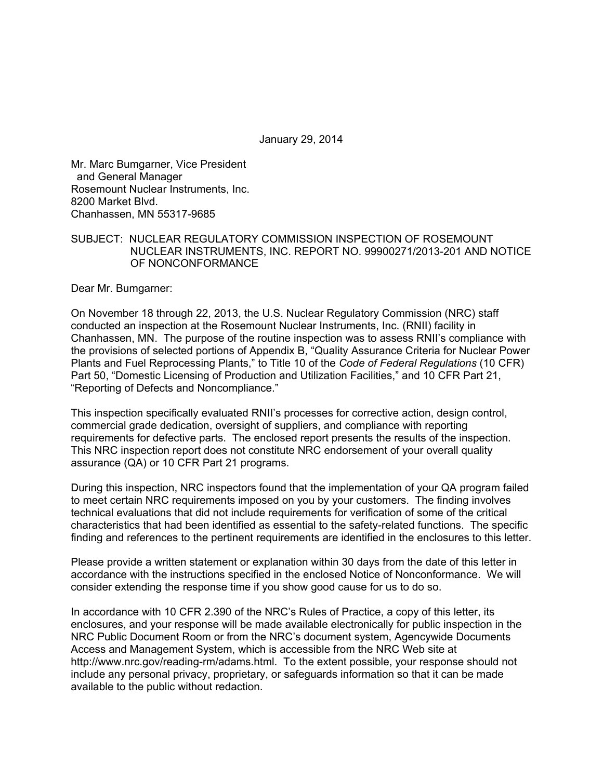January 29, 2014

Mr. Marc Bumgarner, Vice President and General Manager Rosemount Nuclear Instruments, Inc. 8200 Market Blvd. Chanhassen, MN 55317-9685

### SUBJECT: NUCLEAR REGULATORY COMMISSION INSPECTION OF ROSEMOUNT NUCLEAR INSTRUMENTS, INC. REPORT NO. 99900271/2013-201 AND NOTICE OF NONCONFORMANCE

Dear Mr. Bumgarner:

On November 18 through 22, 2013, the U.S. Nuclear Regulatory Commission (NRC) staff conducted an inspection at the Rosemount Nuclear Instruments, Inc. (RNII) facility in Chanhassen, MN. The purpose of the routine inspection was to assess RNII's compliance with the provisions of selected portions of Appendix B, "Quality Assurance Criteria for Nuclear Power Plants and Fuel Reprocessing Plants," to Title 10 of the *Code of Federal Regulations* (10 CFR) Part 50, "Domestic Licensing of Production and Utilization Facilities," and 10 CFR Part 21, "Reporting of Defects and Noncompliance."

This inspection specifically evaluated RNII's processes for corrective action, design control, commercial grade dedication, oversight of suppliers, and compliance with reporting requirements for defective parts. The enclosed report presents the results of the inspection. This NRC inspection report does not constitute NRC endorsement of your overall quality assurance (QA) or 10 CFR Part 21 programs.

During this inspection, NRC inspectors found that the implementation of your QA program failed to meet certain NRC requirements imposed on you by your customers. The finding involves technical evaluations that did not include requirements for verification of some of the critical characteristics that had been identified as essential to the safety-related functions. The specific finding and references to the pertinent requirements are identified in the enclosures to this letter.

Please provide a written statement or explanation within 30 days from the date of this letter in accordance with the instructions specified in the enclosed Notice of Nonconformance. We will consider extending the response time if you show good cause for us to do so.

In accordance with 10 CFR 2.390 of the NRC's Rules of Practice, a copy of this letter, its enclosures, and your response will be made available electronically for public inspection in the NRC Public Document Room or from the NRC's document system, Agencywide Documents Access and Management System, which is accessible from the NRC Web site at http://www.nrc.gov/reading-rm/adams.html. To the extent possible, your response should not include any personal privacy, proprietary, or safeguards information so that it can be made available to the public without redaction.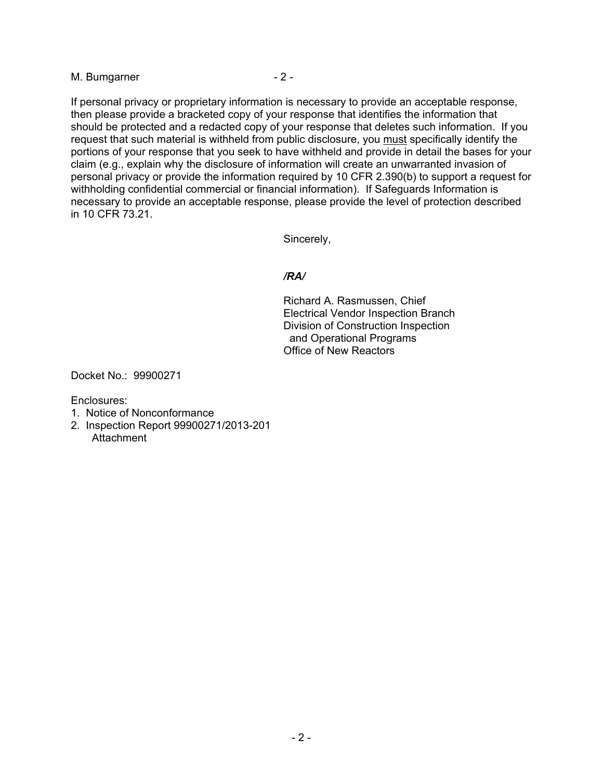M. Bumgarner - 2 -

If personal privacy or proprietary information is necessary to provide an acceptable response, then please provide a bracketed copy of your response that identifies the information that should be protected and a redacted copy of your response that deletes such information. If you request that such material is withheld from public disclosure, you must specifically identify the portions of your response that you seek to have withheld and provide in detail the bases for your claim (e.g., explain why the disclosure of information will create an unwarranted invasion of personal privacy or provide the information required by 10 CFR 2.390(b) to support a request for withholding confidential commercial or financial information). If Safeguards Information is necessary to provide an acceptable response, please provide the level of protection described in 10 CFR 73.21.

Sincerely,

## */RA/*

Richard A. Rasmussen, Chief Electrical Vendor Inspection Branch Division of Construction Inspection and Operational Programs Office of New Reactors

Docket No.: 99900271

Enclosures:

- 1. Notice of Nonconformance
- 2. Inspection Report 99900271/2013-201 **Attachment**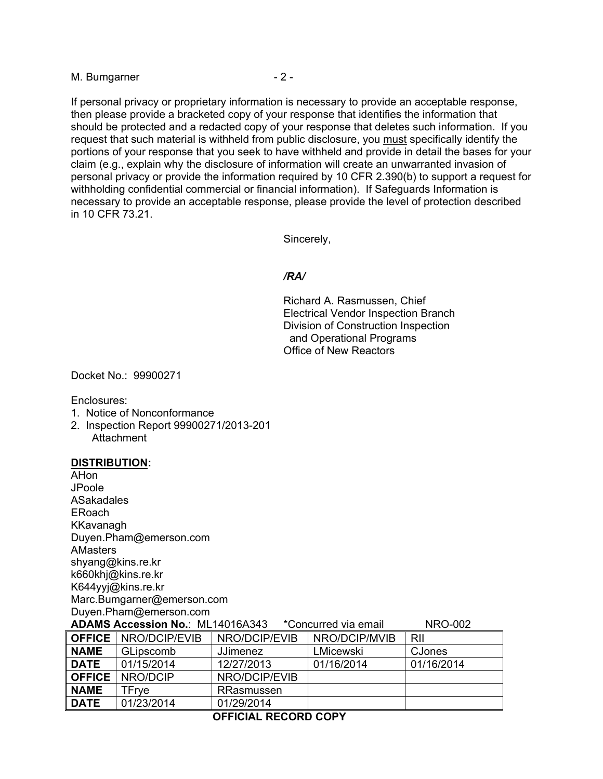M. Bumgarner - 2 -

If personal privacy or proprietary information is necessary to provide an acceptable response, then please provide a bracketed copy of your response that identifies the information that should be protected and a redacted copy of your response that deletes such information. If you request that such material is withheld from public disclosure, you must specifically identify the portions of your response that you seek to have withheld and provide in detail the bases for your claim (e.g., explain why the disclosure of information will create an unwarranted invasion of personal privacy or provide the information required by 10 CFR 2.390(b) to support a request for withholding confidential commercial or financial information). If Safeguards Information is necessary to provide an acceptable response, please provide the level of protection described in 10 CFR 73.21.

Sincerely,

### */RA/*

Richard A. Rasmussen, Chief Electrical Vendor Inspection Branch Division of Construction Inspection and Operational Programs Office of New Reactors

Docket No.: 99900271

Enclosures:

- 1. Notice of Nonconformance
- 2. Inspection Report 99900271/2013-201 Attachment

#### **DISTRIBUTION:**

AHon JPoole ASakadales ERoach KKavanagh Duyen.Pham@emerson.com AMasters shyang@kins.re.kr k660khj@kins.re.kr K644yyj@kins.re.kr Marc.Bumgarner@emerson.com Duyen.Pham@emerson.com

| <b>NRO-002</b><br><b>ADAMS Accession No.: ML14016A343</b><br>*Concurred via email |                               |                 |               |            |  |
|-----------------------------------------------------------------------------------|-------------------------------|-----------------|---------------|------------|--|
|                                                                                   | <b>OFFICE</b>   NRO/DCIP/EVIB | NRO/DCIP/EVIB   | NRO/DCIP/MVIB | RII        |  |
| <b>NAME</b>                                                                       | <b>GLipscomb</b>              | <b>JJimenez</b> | LMicewski     | CJones     |  |
| <b>DATE</b>                                                                       | 01/15/2014                    | 12/27/2013      | 01/16/2014    | 01/16/2014 |  |
| <b>OFFICE</b>                                                                     | NRO/DCIP                      | NRO/DCIP/EVIB   |               |            |  |
| <b>NAME</b>                                                                       | TFrve                         | RRasmussen      |               |            |  |
| <b>DATE</b>                                                                       | 01/23/2014                    | 01/29/2014      |               |            |  |

#### **OFFICIAL RECORD COPY**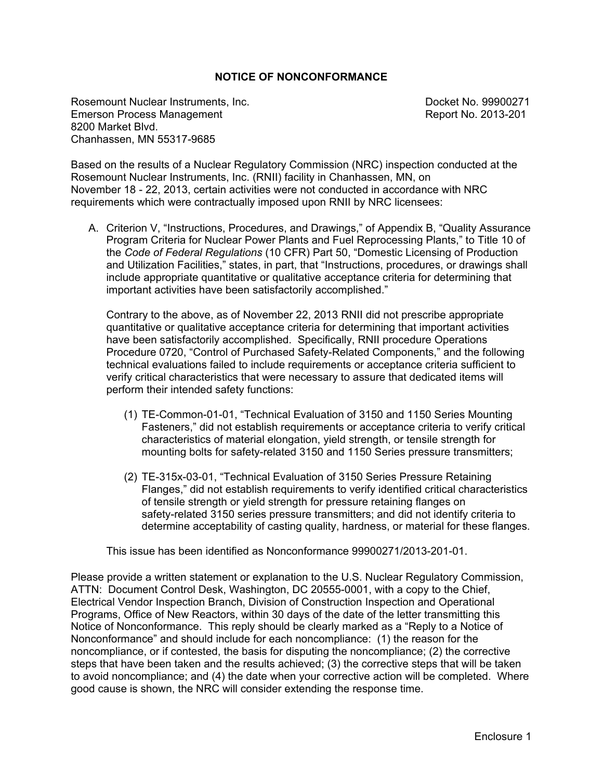## **NOTICE OF NONCONFORMANCE**

Rosemount Nuclear Instruments, Inc. Docket No. 99900271 Emerson Process Management **Report No. 2013-201** 8200 Market Blvd. Chanhassen, MN 55317-9685

Based on the results of a Nuclear Regulatory Commission (NRC) inspection conducted at the Rosemount Nuclear Instruments, Inc. (RNII) facility in Chanhassen, MN, on November 18 - 22, 2013, certain activities were not conducted in accordance with NRC requirements which were contractually imposed upon RNII by NRC licensees:

A. Criterion V, "Instructions, Procedures, and Drawings," of Appendix B, "Quality Assurance Program Criteria for Nuclear Power Plants and Fuel Reprocessing Plants," to Title 10 of the *Code of Federal Regulations* (10 CFR) Part 50, "Domestic Licensing of Production and Utilization Facilities," states, in part, that "Instructions, procedures, or drawings shall include appropriate quantitative or qualitative acceptance criteria for determining that important activities have been satisfactorily accomplished."

Contrary to the above, as of November 22, 2013 RNII did not prescribe appropriate quantitative or qualitative acceptance criteria for determining that important activities have been satisfactorily accomplished. Specifically, RNII procedure Operations Procedure 0720, "Control of Purchased Safety-Related Components," and the following technical evaluations failed to include requirements or acceptance criteria sufficient to verify critical characteristics that were necessary to assure that dedicated items will perform their intended safety functions:

- (1) TE-Common-01-01, "Technical Evaluation of 3150 and 1150 Series Mounting Fasteners," did not establish requirements or acceptance criteria to verify critical characteristics of material elongation, yield strength, or tensile strength for mounting bolts for safety-related 3150 and 1150 Series pressure transmitters;
- (2) TE-315x-03-01, "Technical Evaluation of 3150 Series Pressure Retaining Flanges," did not establish requirements to verify identified critical characteristics of tensile strength or yield strength for pressure retaining flanges on safety-related 3150 series pressure transmitters; and did not identify criteria to determine acceptability of casting quality, hardness, or material for these flanges.

This issue has been identified as Nonconformance 99900271/2013-201-01.

Please provide a written statement or explanation to the U.S. Nuclear Regulatory Commission, ATTN: Document Control Desk, Washington, DC 20555-0001, with a copy to the Chief, Electrical Vendor Inspection Branch, Division of Construction Inspection and Operational Programs, Office of New Reactors, within 30 days of the date of the letter transmitting this Notice of Nonconformance. This reply should be clearly marked as a "Reply to a Notice of Nonconformance" and should include for each noncompliance: (1) the reason for the noncompliance, or if contested, the basis for disputing the noncompliance; (2) the corrective steps that have been taken and the results achieved; (3) the corrective steps that will be taken to avoid noncompliance; and (4) the date when your corrective action will be completed. Where good cause is shown, the NRC will consider extending the response time.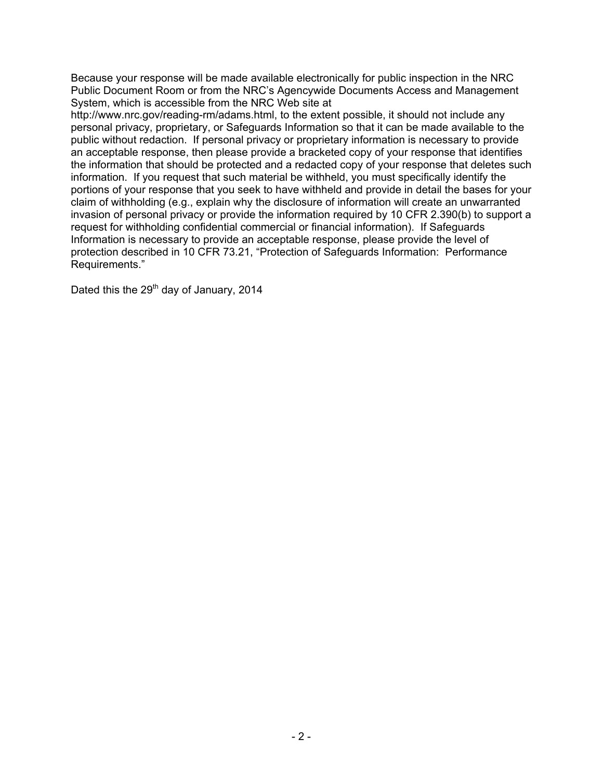Because your response will be made available electronically for public inspection in the NRC Public Document Room or from the NRC's Agencywide Documents Access and Management System, which is accessible from the NRC Web site at

http://www.nrc.gov/reading-rm/adams.html, to the extent possible, it should not include any personal privacy, proprietary, or Safeguards Information so that it can be made available to the public without redaction. If personal privacy or proprietary information is necessary to provide an acceptable response, then please provide a bracketed copy of your response that identifies the information that should be protected and a redacted copy of your response that deletes such information. If you request that such material be withheld, you must specifically identify the portions of your response that you seek to have withheld and provide in detail the bases for your claim of withholding (e.g., explain why the disclosure of information will create an unwarranted invasion of personal privacy or provide the information required by 10 CFR 2.390(b) to support a request for withholding confidential commercial or financial information). If Safeguards Information is necessary to provide an acceptable response, please provide the level of protection described in 10 CFR 73.21, "Protection of Safeguards Information: Performance Requirements."

Dated this the  $29<sup>th</sup>$  day of January, 2014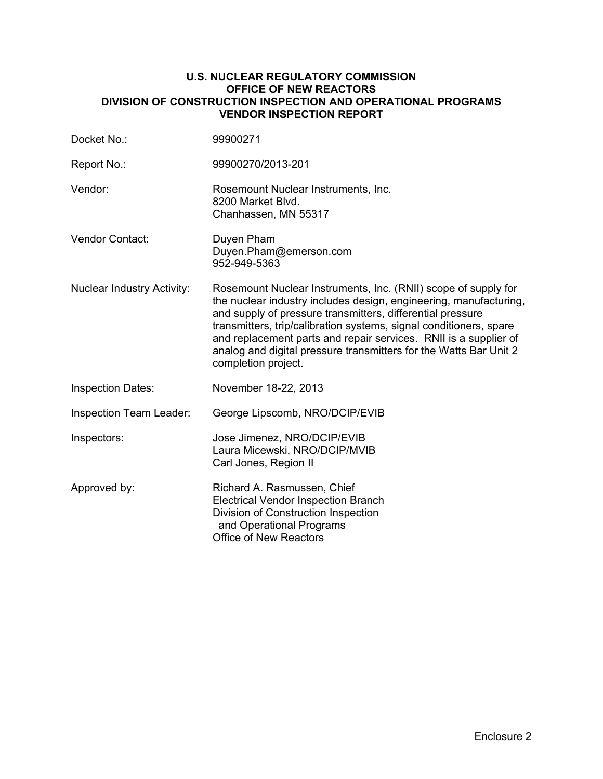### **U.S. NUCLEAR REGULATORY COMMISSION OFFICE OF NEW REACTORS DIVISION OF CONSTRUCTION INSPECTION AND OPERATIONAL PROGRAMS VENDOR INSPECTION REPORT**

| Docket No.:                       | 99900271                                                                                                                                                                                                                                                                                                                                                                                                                                |
|-----------------------------------|-----------------------------------------------------------------------------------------------------------------------------------------------------------------------------------------------------------------------------------------------------------------------------------------------------------------------------------------------------------------------------------------------------------------------------------------|
| Report No.:                       | 99900270/2013-201                                                                                                                                                                                                                                                                                                                                                                                                                       |
| Vendor:                           | Rosemount Nuclear Instruments, Inc.<br>8200 Market Blvd.<br>Chanhassen, MN 55317                                                                                                                                                                                                                                                                                                                                                        |
| Vendor Contact:                   | Duyen Pham<br>Duyen.Pham@emerson.com<br>952-949-5363                                                                                                                                                                                                                                                                                                                                                                                    |
| <b>Nuclear Industry Activity:</b> | Rosemount Nuclear Instruments, Inc. (RNII) scope of supply for<br>the nuclear industry includes design, engineering, manufacturing,<br>and supply of pressure transmitters, differential pressure<br>transmitters, trip/calibration systems, signal conditioners, spare<br>and replacement parts and repair services. RNII is a supplier of<br>analog and digital pressure transmitters for the Watts Bar Unit 2<br>completion project. |
| <b>Inspection Dates:</b>          | November 18-22, 2013                                                                                                                                                                                                                                                                                                                                                                                                                    |
| Inspection Team Leader:           | George Lipscomb, NRO/DCIP/EVIB                                                                                                                                                                                                                                                                                                                                                                                                          |
| Inspectors:                       | Jose Jimenez, NRO/DCIP/EVIB<br>Laura Micewski, NRO/DCIP/MVIB<br>Carl Jones, Region II                                                                                                                                                                                                                                                                                                                                                   |
| Approved by:                      | Richard A. Rasmussen, Chief<br><b>Electrical Vendor Inspection Branch</b><br>Division of Construction Inspection<br>and Operational Programs<br>Office of New Reactors                                                                                                                                                                                                                                                                  |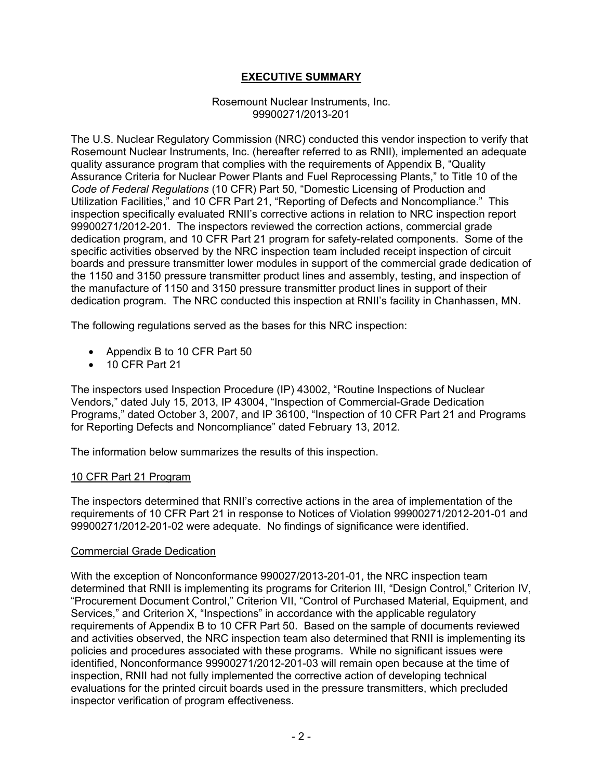## **EXECUTIVE SUMMARY**

#### Rosemount Nuclear Instruments, Inc. 99900271/2013-201

The U.S. Nuclear Regulatory Commission (NRC) conducted this vendor inspection to verify that Rosemount Nuclear Instruments, Inc. (hereafter referred to as RNII), implemented an adequate quality assurance program that complies with the requirements of Appendix B, "Quality Assurance Criteria for Nuclear Power Plants and Fuel Reprocessing Plants," to Title 10 of the *Code of Federal Regulations* (10 CFR) Part 50, "Domestic Licensing of Production and Utilization Facilities," and 10 CFR Part 21, "Reporting of Defects and Noncompliance." This inspection specifically evaluated RNII's corrective actions in relation to NRC inspection report 99900271/2012-201. The inspectors reviewed the correction actions, commercial grade dedication program, and 10 CFR Part 21 program for safety-related components. Some of the specific activities observed by the NRC inspection team included receipt inspection of circuit boards and pressure transmitter lower modules in support of the commercial grade dedication of the 1150 and 3150 pressure transmitter product lines and assembly, testing, and inspection of the manufacture of 1150 and 3150 pressure transmitter product lines in support of their dedication program. The NRC conducted this inspection at RNII's facility in Chanhassen, MN.

The following regulations served as the bases for this NRC inspection:

- Appendix B to 10 CFR Part 50
- 10 CFR Part 21

The inspectors used Inspection Procedure (IP) 43002, "Routine Inspections of Nuclear Vendors," dated July 15, 2013, IP 43004, "Inspection of Commercial-Grade Dedication Programs," dated October 3, 2007, and IP 36100, "Inspection of 10 CFR Part 21 and Programs for Reporting Defects and Noncompliance" dated February 13, 2012.

The information below summarizes the results of this inspection.

#### 10 CFR Part 21 Program

The inspectors determined that RNII's corrective actions in the area of implementation of the requirements of 10 CFR Part 21 in response to Notices of Violation 99900271/2012-201-01 and 99900271/2012-201-02 were adequate. No findings of significance were identified.

#### Commercial Grade Dedication

With the exception of Nonconformance 990027/2013-201-01, the NRC inspection team determined that RNII is implementing its programs for Criterion III, "Design Control," Criterion IV, "Procurement Document Control," Criterion VII, "Control of Purchased Material, Equipment, and Services," and Criterion X, "Inspections" in accordance with the applicable regulatory requirements of Appendix B to 10 CFR Part 50. Based on the sample of documents reviewed and activities observed, the NRC inspection team also determined that RNII is implementing its policies and procedures associated with these programs. While no significant issues were identified, Nonconformance 99900271/2012-201-03 will remain open because at the time of inspection, RNII had not fully implemented the corrective action of developing technical evaluations for the printed circuit boards used in the pressure transmitters, which precluded inspector verification of program effectiveness.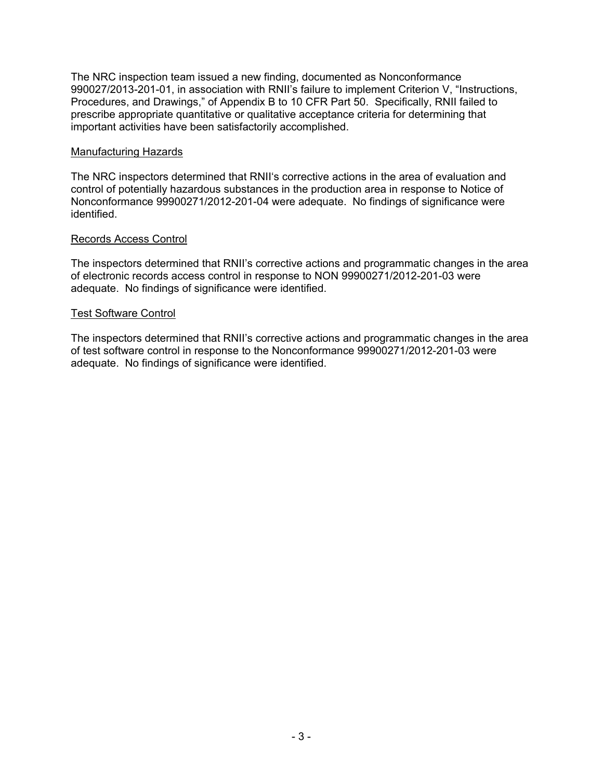The NRC inspection team issued a new finding, documented as Nonconformance 990027/2013-201-01, in association with RNII's failure to implement Criterion V, "Instructions, Procedures, and Drawings," of Appendix B to 10 CFR Part 50. Specifically, RNII failed to prescribe appropriate quantitative or qualitative acceptance criteria for determining that important activities have been satisfactorily accomplished.

### Manufacturing Hazards

The NRC inspectors determined that RNII's corrective actions in the area of evaluation and control of potentially hazardous substances in the production area in response to Notice of Nonconformance 99900271/2012-201-04 were adequate. No findings of significance were identified.

## Records Access Control

The inspectors determined that RNII's corrective actions and programmatic changes in the area of electronic records access control in response to NON 99900271/2012-201-03 were adequate. No findings of significance were identified.

### Test Software Control

The inspectors determined that RNII's corrective actions and programmatic changes in the area of test software control in response to the Nonconformance 99900271/2012-201-03 were adequate. No findings of significance were identified.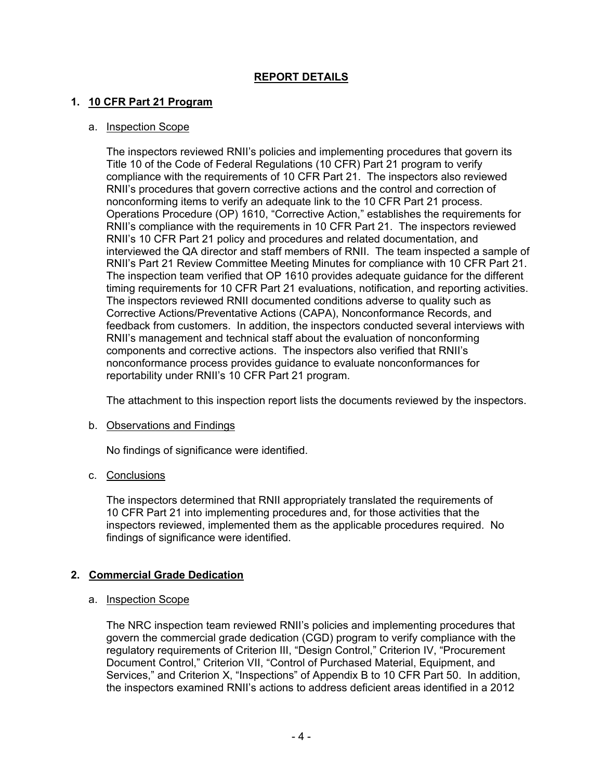## **REPORT DETAILS**

## **1. 10 CFR Part 21 Program**

## a. Inspection Scope

The inspectors reviewed RNII's policies and implementing procedures that govern its Title 10 of the Code of Federal Regulations (10 CFR) Part 21 program to verify compliance with the requirements of 10 CFR Part 21. The inspectors also reviewed RNII's procedures that govern corrective actions and the control and correction of nonconforming items to verify an adequate link to the 10 CFR Part 21 process. Operations Procedure (OP) 1610, "Corrective Action," establishes the requirements for RNII's compliance with the requirements in 10 CFR Part 21. The inspectors reviewed RNII's 10 CFR Part 21 policy and procedures and related documentation, and interviewed the QA director and staff members of RNII. The team inspected a sample of RNII's Part 21 Review Committee Meeting Minutes for compliance with 10 CFR Part 21. The inspection team verified that OP 1610 provides adequate guidance for the different timing requirements for 10 CFR Part 21 evaluations, notification, and reporting activities. The inspectors reviewed RNII documented conditions adverse to quality such as Corrective Actions/Preventative Actions (CAPA), Nonconformance Records, and feedback from customers. In addition, the inspectors conducted several interviews with RNII's management and technical staff about the evaluation of nonconforming components and corrective actions. The inspectors also verified that RNII's nonconformance process provides guidance to evaluate nonconformances for reportability under RNII's 10 CFR Part 21 program.

The attachment to this inspection report lists the documents reviewed by the inspectors.

## b. Observations and Findings

No findings of significance were identified.

## c. Conclusions

The inspectors determined that RNII appropriately translated the requirements of 10 CFR Part 21 into implementing procedures and, for those activities that the inspectors reviewed, implemented them as the applicable procedures required. No findings of significance were identified.

## **2. Commercial Grade Dedication**

## a. Inspection Scope

The NRC inspection team reviewed RNII's policies and implementing procedures that govern the commercial grade dedication (CGD) program to verify compliance with the regulatory requirements of Criterion III, "Design Control," Criterion IV, "Procurement Document Control," Criterion VII, "Control of Purchased Material, Equipment, and Services," and Criterion X, "Inspections" of Appendix B to 10 CFR Part 50. In addition, the inspectors examined RNII's actions to address deficient areas identified in a 2012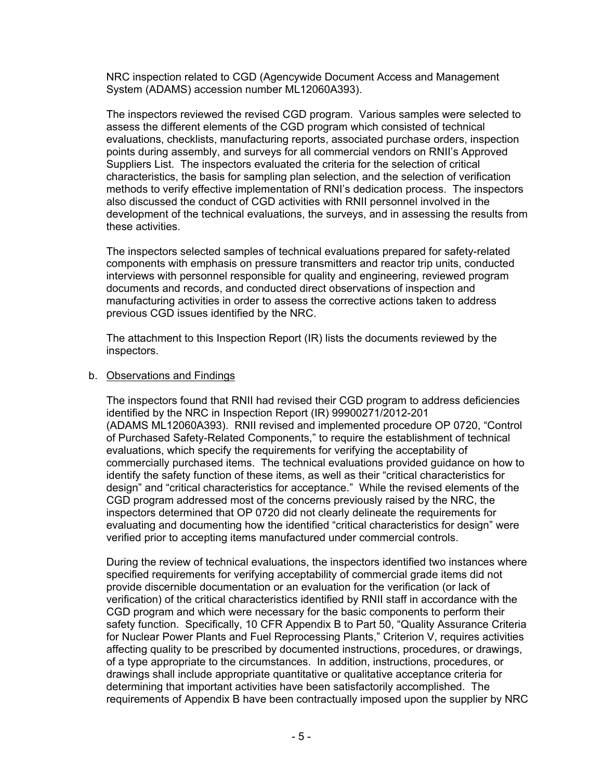NRC inspection related to CGD (Agencywide Document Access and Management System (ADAMS) accession number ML12060A393).

The inspectors reviewed the revised CGD program. Various samples were selected to assess the different elements of the CGD program which consisted of technical evaluations, checklists, manufacturing reports, associated purchase orders, inspection points during assembly, and surveys for all commercial vendors on RNII's Approved Suppliers List. The inspectors evaluated the criteria for the selection of critical characteristics, the basis for sampling plan selection, and the selection of verification methods to verify effective implementation of RNI's dedication process. The inspectors also discussed the conduct of CGD activities with RNII personnel involved in the development of the technical evaluations, the surveys, and in assessing the results from these activities.

The inspectors selected samples of technical evaluations prepared for safety-related components with emphasis on pressure transmitters and reactor trip units, conducted interviews with personnel responsible for quality and engineering, reviewed program documents and records, and conducted direct observations of inspection and manufacturing activities in order to assess the corrective actions taken to address previous CGD issues identified by the NRC.

The attachment to this Inspection Report (IR) lists the documents reviewed by the inspectors.

#### b. Observations and Findings

The inspectors found that RNII had revised their CGD program to address deficiencies identified by the NRC in Inspection Report (IR) 99900271/2012-201 (ADAMS ML12060A393). RNII revised and implemented procedure OP 0720, "Control of Purchased Safety-Related Components," to require the establishment of technical evaluations, which specify the requirements for verifying the acceptability of commercially purchased items. The technical evaluations provided guidance on how to identify the safety function of these items, as well as their "critical characteristics for design" and "critical characteristics for acceptance." While the revised elements of the CGD program addressed most of the concerns previously raised by the NRC, the inspectors determined that OP 0720 did not clearly delineate the requirements for evaluating and documenting how the identified "critical characteristics for design" were verified prior to accepting items manufactured under commercial controls.

During the review of technical evaluations, the inspectors identified two instances where specified requirements for verifying acceptability of commercial grade items did not provide discernible documentation or an evaluation for the verification (or lack of verification) of the critical characteristics identified by RNII staff in accordance with the CGD program and which were necessary for the basic components to perform their safety function. Specifically, 10 CFR Appendix B to Part 50, "Quality Assurance Criteria for Nuclear Power Plants and Fuel Reprocessing Plants," Criterion V, requires activities affecting quality to be prescribed by documented instructions, procedures, or drawings, of a type appropriate to the circumstances. In addition, instructions, procedures, or drawings shall include appropriate quantitative or qualitative acceptance criteria for determining that important activities have been satisfactorily accomplished. The requirements of Appendix B have been contractually imposed upon the supplier by NRC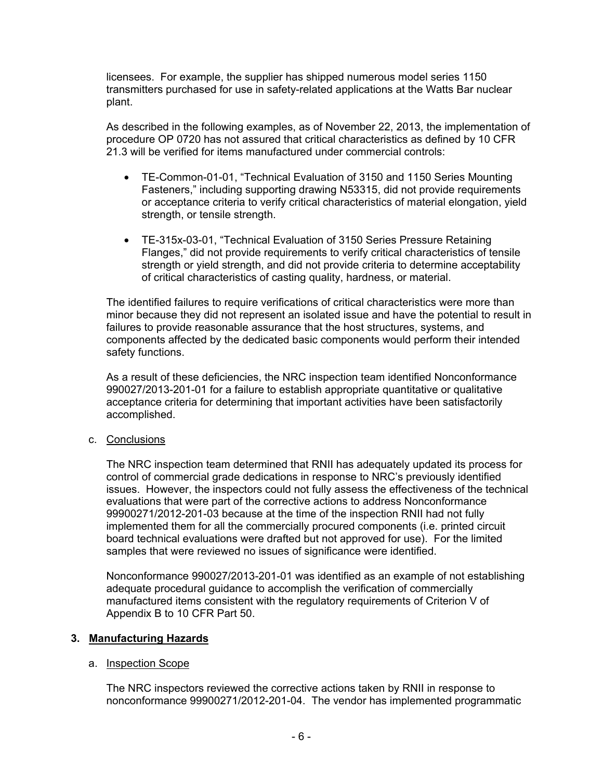licensees. For example, the supplier has shipped numerous model series 1150 transmitters purchased for use in safety-related applications at the Watts Bar nuclear plant.

As described in the following examples, as of November 22, 2013, the implementation of procedure OP 0720 has not assured that critical characteristics as defined by 10 CFR 21.3 will be verified for items manufactured under commercial controls:

- TE-Common-01-01, "Technical Evaluation of 3150 and 1150 Series Mounting Fasteners," including supporting drawing N53315, did not provide requirements or acceptance criteria to verify critical characteristics of material elongation, yield strength, or tensile strength.
- TE-315x-03-01, "Technical Evaluation of 3150 Series Pressure Retaining Flanges," did not provide requirements to verify critical characteristics of tensile strength or yield strength, and did not provide criteria to determine acceptability of critical characteristics of casting quality, hardness, or material.

The identified failures to require verifications of critical characteristics were more than minor because they did not represent an isolated issue and have the potential to result in failures to provide reasonable assurance that the host structures, systems, and components affected by the dedicated basic components would perform their intended safety functions.

As a result of these deficiencies, the NRC inspection team identified Nonconformance 990027/2013-201-01 for a failure to establish appropriate quantitative or qualitative acceptance criteria for determining that important activities have been satisfactorily accomplished.

c. Conclusions

The NRC inspection team determined that RNII has adequately updated its process for control of commercial grade dedications in response to NRC's previously identified issues. However, the inspectors could not fully assess the effectiveness of the technical evaluations that were part of the corrective actions to address Nonconformance 99900271/2012-201-03 because at the time of the inspection RNII had not fully implemented them for all the commercially procured components (i.e. printed circuit board technical evaluations were drafted but not approved for use). For the limited samples that were reviewed no issues of significance were identified.

Nonconformance 990027/2013-201-01 was identified as an example of not establishing adequate procedural guidance to accomplish the verification of commercially manufactured items consistent with the regulatory requirements of Criterion V of Appendix B to 10 CFR Part 50.

## **3. Manufacturing Hazards**

## a. Inspection Scope

The NRC inspectors reviewed the corrective actions taken by RNII in response to nonconformance 99900271/2012-201-04. The vendor has implemented programmatic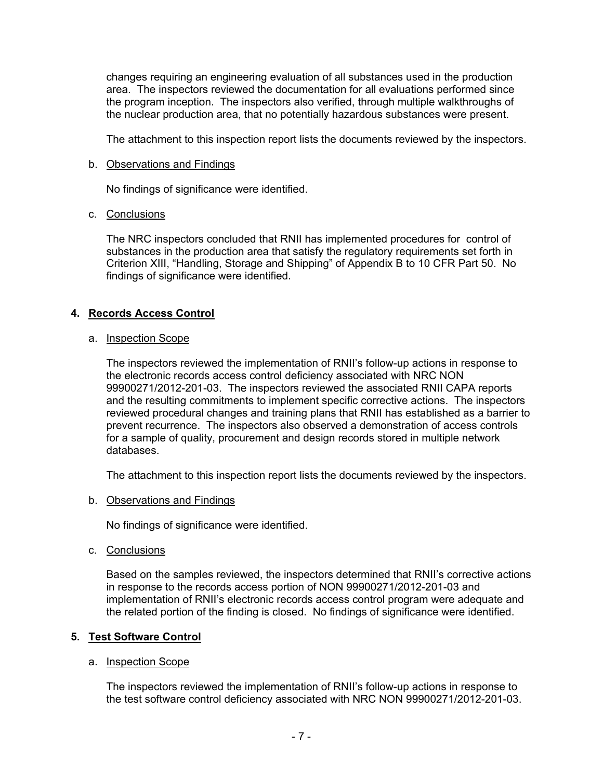changes requiring an engineering evaluation of all substances used in the production area. The inspectors reviewed the documentation for all evaluations performed since the program inception. The inspectors also verified, through multiple walkthroughs of the nuclear production area, that no potentially hazardous substances were present.

The attachment to this inspection report lists the documents reviewed by the inspectors.

#### b. Observations and Findings

No findings of significance were identified.

### c. Conclusions

The NRC inspectors concluded that RNII has implemented procedures for control of substances in the production area that satisfy the regulatory requirements set forth in Criterion XIII, "Handling, Storage and Shipping" of Appendix B to 10 CFR Part 50. No findings of significance were identified.

## **4. Records Access Control**

### a. Inspection Scope

The inspectors reviewed the implementation of RNII's follow-up actions in response to the electronic records access control deficiency associated with NRC NON 99900271/2012-201-03. The inspectors reviewed the associated RNII CAPA reports and the resulting commitments to implement specific corrective actions. The inspectors reviewed procedural changes and training plans that RNII has established as a barrier to prevent recurrence. The inspectors also observed a demonstration of access controls for a sample of quality, procurement and design records stored in multiple network databases.

The attachment to this inspection report lists the documents reviewed by the inspectors.

#### b. Observations and Findings

No findings of significance were identified.

c. Conclusions

Based on the samples reviewed, the inspectors determined that RNII's corrective actions in response to the records access portion of NON 99900271/2012-201-03 and implementation of RNII's electronic records access control program were adequate and the related portion of the finding is closed. No findings of significance were identified.

## **5. Test Software Control**

#### a. Inspection Scope

The inspectors reviewed the implementation of RNII's follow-up actions in response to the test software control deficiency associated with NRC NON 99900271/2012-201-03.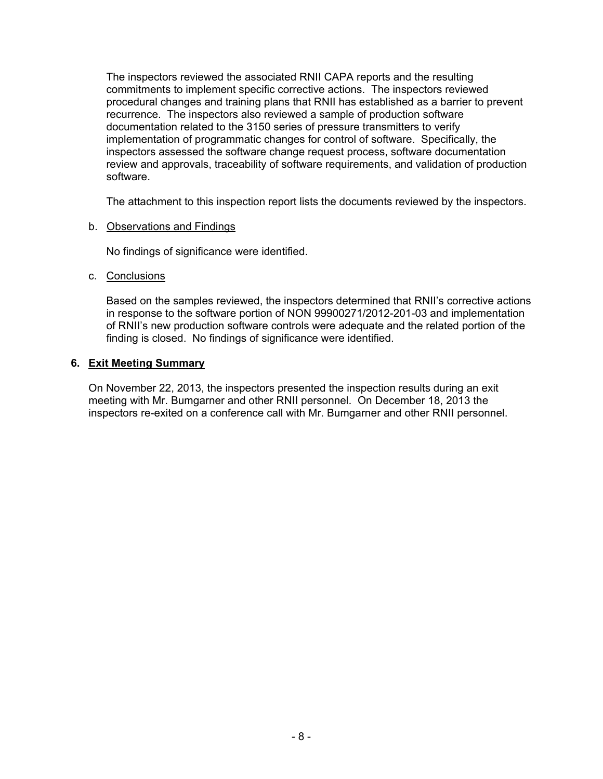The inspectors reviewed the associated RNII CAPA reports and the resulting commitments to implement specific corrective actions. The inspectors reviewed procedural changes and training plans that RNII has established as a barrier to prevent recurrence. The inspectors also reviewed a sample of production software documentation related to the 3150 series of pressure transmitters to verify implementation of programmatic changes for control of software. Specifically, the inspectors assessed the software change request process, software documentation review and approvals, traceability of software requirements, and validation of production software.

The attachment to this inspection report lists the documents reviewed by the inspectors.

### b. Observations and Findings

No findings of significance were identified.

### c. Conclusions

Based on the samples reviewed, the inspectors determined that RNII's corrective actions in response to the software portion of NON 99900271/2012-201-03 and implementation of RNII's new production software controls were adequate and the related portion of the finding is closed. No findings of significance were identified.

### **6. Exit Meeting Summary**

On November 22, 2013, the inspectors presented the inspection results during an exit meeting with Mr. Bumgarner and other RNII personnel. On December 18, 2013 the inspectors re-exited on a conference call with Mr. Bumgarner and other RNII personnel.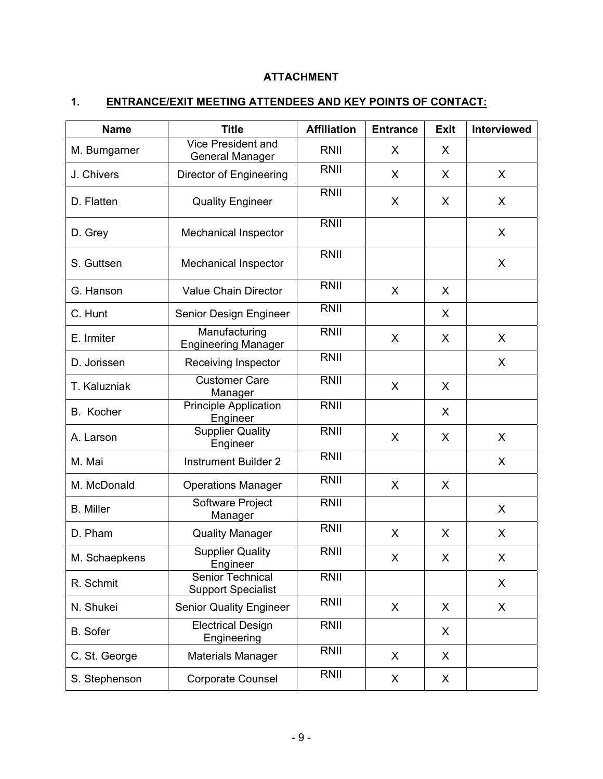# **ATTACHMENT**

# **1. ENTRANCE/EXIT MEETING ATTENDEES AND KEY POINTS OF CONTACT:**

| <b>Name</b>      | <b>Title</b>                                        | <b>Affiliation</b> | <b>Entrance</b> | <b>Exit</b> | Interviewed |
|------------------|-----------------------------------------------------|--------------------|-----------------|-------------|-------------|
| M. Bumgarner     | <b>Vice President and</b><br><b>General Manager</b> | RNII               | X               | X           |             |
| J. Chivers       | Director of Engineering                             | RNII               | X               | X           | X           |
| D. Flatten       | <b>Quality Engineer</b>                             | <b>RNII</b>        | X               | X           | X           |
| D. Grey          | Mechanical Inspector                                | RNII               |                 |             | X           |
| S. Guttsen       | Mechanical Inspector                                | RNII               |                 |             | X           |
| G. Hanson        | <b>Value Chain Director</b>                         | RNII               | X               | X           |             |
| C. Hunt          | Senior Design Engineer                              | <b>RNII</b>        |                 | X           |             |
| E. Irmiter       | Manufacturing<br><b>Engineering Manager</b>         | <b>RNII</b>        | X               | X           | X           |
| D. Jorissen      | Receiving Inspector                                 | <b>RNII</b>        |                 |             | X           |
| T. Kaluzniak     | <b>Customer Care</b><br>Manager                     | <b>RNII</b>        | X               | X           |             |
| B. Kocher        | <b>Principle Application</b><br>Engineer            | <b>RNII</b>        |                 | X           |             |
| A. Larson        | <b>Supplier Quality</b><br>Engineer                 | RNII               | X               | X           | X           |
| M. Mai           | <b>Instrument Builder 2</b>                         | <b>RNII</b>        |                 |             | X           |
| M. McDonald      | <b>Operations Manager</b>                           | RNII               | X               | X           |             |
| <b>B.</b> Miller | Software Project<br>Manager                         | RNII               |                 |             | X           |
| D. Pham          | <b>Quality Manager</b>                              | <b>RNII</b>        | X               | X           | X           |
| M. Schaepkens    | <b>Supplier Quality</b><br>Engineer                 | <b>RNII</b>        | X               | X           | X           |
| R. Schmit        | Senior Technical<br><b>Support Specialist</b>       | <b>RNII</b>        |                 |             | X           |
| N. Shukei        | <b>Senior Quality Engineer</b>                      | RNII               | X               | X           | X           |
| <b>B.</b> Sofer  | <b>Electrical Design</b><br>Engineering             | RNII               |                 | X           |             |
| C. St. George    | <b>Materials Manager</b>                            | RNII               | X               | X           |             |
| S. Stephenson    | Corporate Counsel                                   | RNII               | X               | X           |             |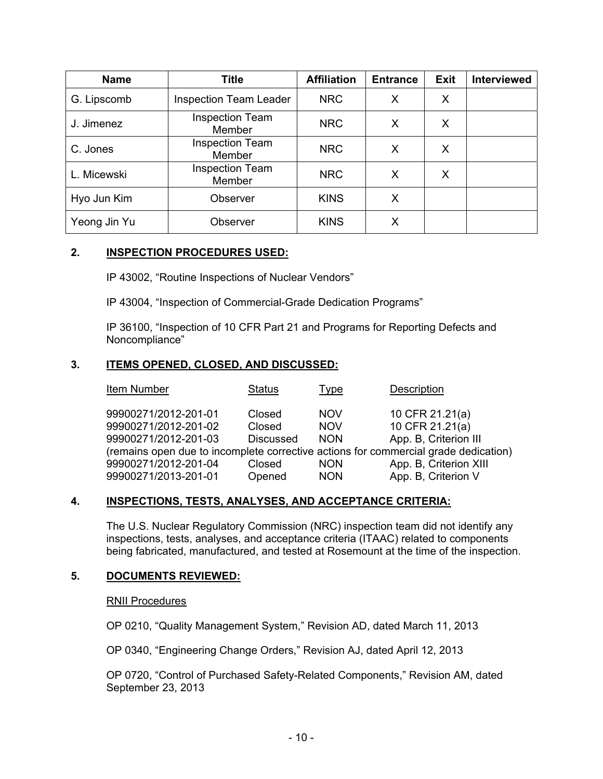| <b>Name</b>  | <b>Title</b>                     | <b>Affiliation</b> | <b>Entrance</b> | <b>Exit</b> | <b>Interviewed</b> |
|--------------|----------------------------------|--------------------|-----------------|-------------|--------------------|
| G. Lipscomb  | <b>Inspection Team Leader</b>    | <b>NRC</b>         | Χ               | X           |                    |
| J. Jimenez   | <b>Inspection Team</b><br>Member | <b>NRC</b>         | X               | X           |                    |
| C. Jones     | <b>Inspection Team</b><br>Member | <b>NRC</b>         | X               | X           |                    |
| L. Micewski  | <b>Inspection Team</b><br>Member | <b>NRC</b>         | X               | X           |                    |
| Hyo Jun Kim  | Observer                         | <b>KINS</b>        | X               |             |                    |
| Yeong Jin Yu | Observer                         | <b>KINS</b>        | Х               |             |                    |

## **2. INSPECTION PROCEDURES USED:**

IP 43002, "Routine Inspections of Nuclear Vendors"

IP 43004, "Inspection of Commercial-Grade Dedication Programs"

IP 36100, "Inspection of 10 CFR Part 21 and Programs for Reporting Defects and Noncompliance"

### **3. ITEMS OPENED, CLOSED, AND DISCUSSED:**

| Item Number                                                                         | <b>Status</b>    | <u>Type</u> | <b>Description</b>     |
|-------------------------------------------------------------------------------------|------------------|-------------|------------------------|
|                                                                                     |                  |             |                        |
| 99900271/2012-201-01                                                                | Closed           | <b>NOV</b>  | 10 CFR 21.21(a)        |
| 99900271/2012-201-02                                                                | Closed           | <b>NOV</b>  | 10 CFR 21.21(a)        |
| 99900271/2012-201-03                                                                | <b>Discussed</b> | <b>NON</b>  | App. B, Criterion III  |
| (remains open due to incomplete corrective actions for commercial grade dedication) |                  |             |                        |
| 99900271/2012-201-04                                                                | Closed           | <b>NON</b>  | App. B, Criterion XIII |
| 99900271/2013-201-01                                                                | Opened           | <b>NON</b>  | App. B, Criterion V    |

## **4. INSPECTIONS, TESTS, ANALYSES, AND ACCEPTANCE CRITERIA:**

The U.S. Nuclear Regulatory Commission (NRC) inspection team did not identify any inspections, tests, analyses, and acceptance criteria (ITAAC) related to components being fabricated, manufactured, and tested at Rosemount at the time of the inspection.

### **5. DOCUMENTS REVIEWED:**

#### RNII Procedures

OP 0210, "Quality Management System," Revision AD, dated March 11, 2013

OP 0340, "Engineering Change Orders," Revision AJ, dated April 12, 2013

OP 0720, "Control of Purchased Safety-Related Components," Revision AM, dated September 23, 2013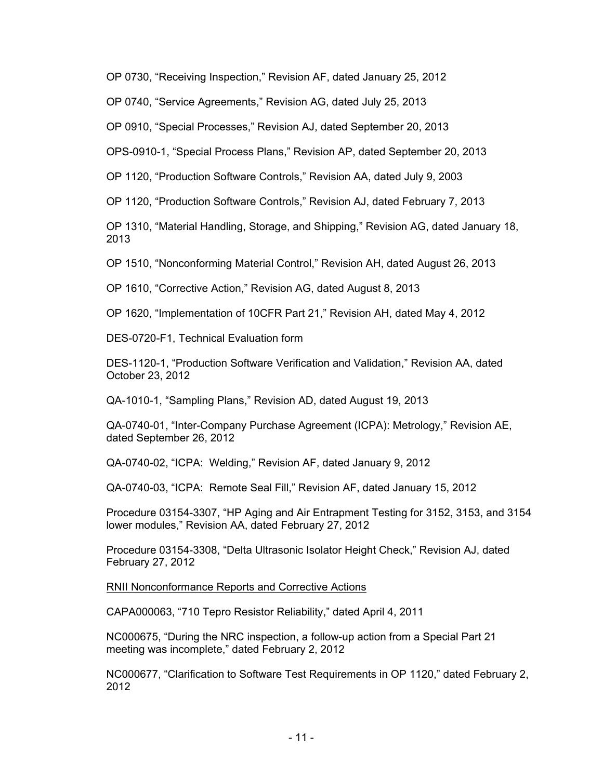OP 0730, "Receiving Inspection," Revision AF, dated January 25, 2012

OP 0740, "Service Agreements," Revision AG, dated July 25, 2013

OP 0910, "Special Processes," Revision AJ, dated September 20, 2013

OPS-0910-1, "Special Process Plans," Revision AP, dated September 20, 2013

OP 1120, "Production Software Controls," Revision AA, dated July 9, 2003

OP 1120, "Production Software Controls," Revision AJ, dated February 7, 2013

OP 1310, "Material Handling, Storage, and Shipping," Revision AG, dated January 18, 2013

OP 1510, "Nonconforming Material Control," Revision AH, dated August 26, 2013

OP 1610, "Corrective Action," Revision AG, dated August 8, 2013

OP 1620, "Implementation of 10CFR Part 21," Revision AH, dated May 4, 2012

DES-0720-F1, Technical Evaluation form

DES-1120-1, "Production Software Verification and Validation," Revision AA, dated October 23, 2012

QA-1010-1, "Sampling Plans," Revision AD, dated August 19, 2013

QA-0740-01, "Inter-Company Purchase Agreement (ICPA): Metrology," Revision AE, dated September 26, 2012

QA-0740-02, "ICPA: Welding," Revision AF, dated January 9, 2012

QA-0740-03, "ICPA: Remote Seal Fill," Revision AF, dated January 15, 2012

Procedure 03154-3307, "HP Aging and Air Entrapment Testing for 3152, 3153, and 3154 lower modules," Revision AA, dated February 27, 2012

Procedure 03154-3308, "Delta Ultrasonic Isolator Height Check," Revision AJ, dated February 27, 2012

RNII Nonconformance Reports and Corrective Actions

CAPA000063, "710 Tepro Resistor Reliability," dated April 4, 2011

NC000675, "During the NRC inspection, a follow-up action from a Special Part 21 meeting was incomplete," dated February 2, 2012

NC000677, "Clarification to Software Test Requirements in OP 1120," dated February 2, 2012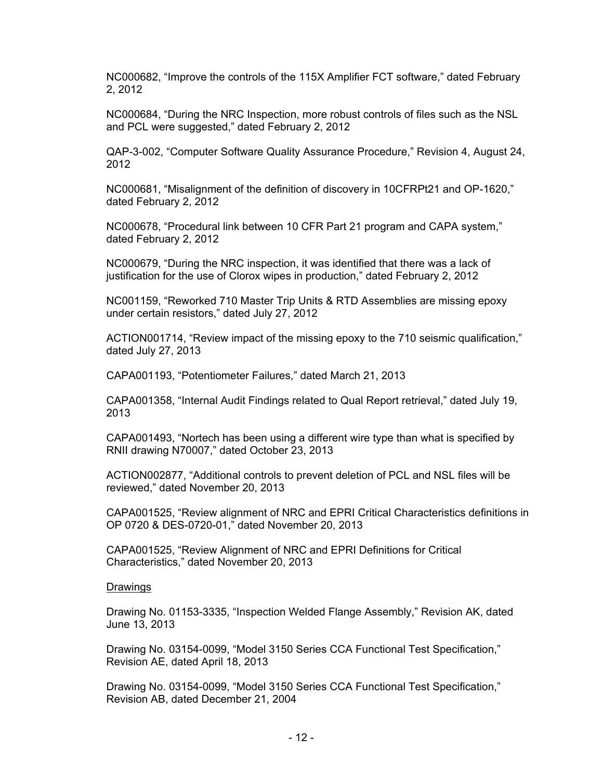NC000682, "Improve the controls of the 115X Amplifier FCT software," dated February 2, 2012

NC000684, "During the NRC Inspection, more robust controls of files such as the NSL and PCL were suggested," dated February 2, 2012

QAP-3-002, "Computer Software Quality Assurance Procedure," Revision 4, August 24, 2012

NC000681, "Misalignment of the definition of discovery in 10CFRPt21 and OP-1620," dated February 2, 2012

NC000678, "Procedural link between 10 CFR Part 21 program and CAPA system," dated February 2, 2012

NC000679, "During the NRC inspection, it was identified that there was a lack of justification for the use of Clorox wipes in production," dated February 2, 2012

NC001159, "Reworked 710 Master Trip Units & RTD Assemblies are missing epoxy under certain resistors," dated July 27, 2012

ACTION001714, "Review impact of the missing epoxy to the 710 seismic qualification," dated July 27, 2013

CAPA001193, "Potentiometer Failures," dated March 21, 2013

CAPA001358, "Internal Audit Findings related to Qual Report retrieval," dated July 19, 2013

CAPA001493, "Nortech has been using a different wire type than what is specified by RNII drawing N70007," dated October 23, 2013

ACTION002877, "Additional controls to prevent deletion of PCL and NSL files will be reviewed," dated November 20, 2013

CAPA001525, "Review alignment of NRC and EPRI Critical Characteristics definitions in OP 0720 & DES-0720-01," dated November 20, 2013

CAPA001525, "Review Alignment of NRC and EPRI Definitions for Critical Characteristics," dated November 20, 2013

#### **Drawings**

Drawing No. 01153-3335, "Inspection Welded Flange Assembly," Revision AK, dated June 13, 2013

Drawing No. 03154-0099, "Model 3150 Series CCA Functional Test Specification," Revision AE, dated April 18, 2013

Drawing No. 03154-0099, "Model 3150 Series CCA Functional Test Specification," Revision AB, dated December 21, 2004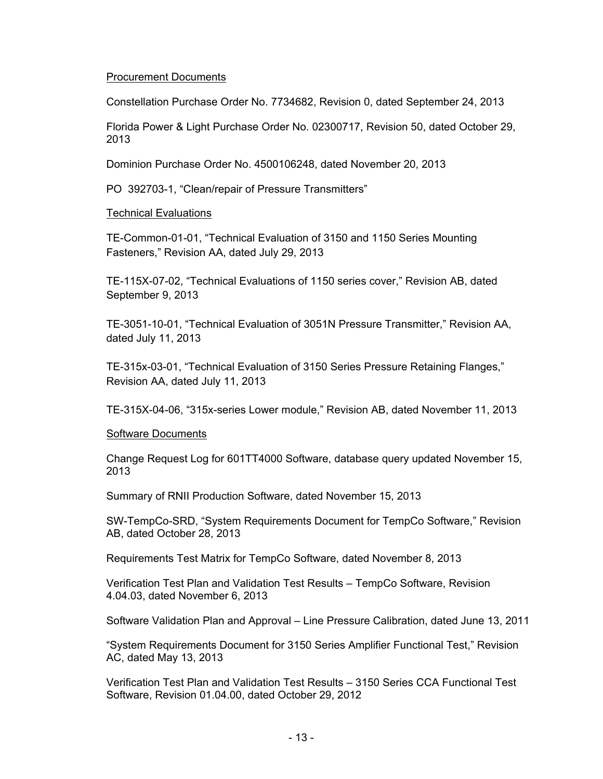### Procurement Documents

Constellation Purchase Order No. 7734682, Revision 0, dated September 24, 2013

Florida Power & Light Purchase Order No. 02300717, Revision 50, dated October 29, 2013

Dominion Purchase Order No. 4500106248, dated November 20, 2013

PO 392703-1, "Clean/repair of Pressure Transmitters"

### Technical Evaluations

TE-Common-01-01, "Technical Evaluation of 3150 and 1150 Series Mounting Fasteners," Revision AA, dated July 29, 2013

TE-115X-07-02, "Technical Evaluations of 1150 series cover," Revision AB, dated September 9, 2013

TE-3051-10-01, "Technical Evaluation of 3051N Pressure Transmitter," Revision AA, dated July 11, 2013

TE-315x-03-01, "Technical Evaluation of 3150 Series Pressure Retaining Flanges," Revision AA, dated July 11, 2013

TE-315X-04-06, "315x-series Lower module," Revision AB, dated November 11, 2013

#### Software Documents

Change Request Log for 601TT4000 Software, database query updated November 15, 2013

Summary of RNII Production Software, dated November 15, 2013

SW-TempCo-SRD, "System Requirements Document for TempCo Software," Revision AB, dated October 28, 2013

Requirements Test Matrix for TempCo Software, dated November 8, 2013

Verification Test Plan and Validation Test Results – TempCo Software, Revision 4.04.03, dated November 6, 2013

Software Validation Plan and Approval – Line Pressure Calibration, dated June 13, 2011

"System Requirements Document for 3150 Series Amplifier Functional Test," Revision AC, dated May 13, 2013

Verification Test Plan and Validation Test Results – 3150 Series CCA Functional Test Software, Revision 01.04.00, dated October 29, 2012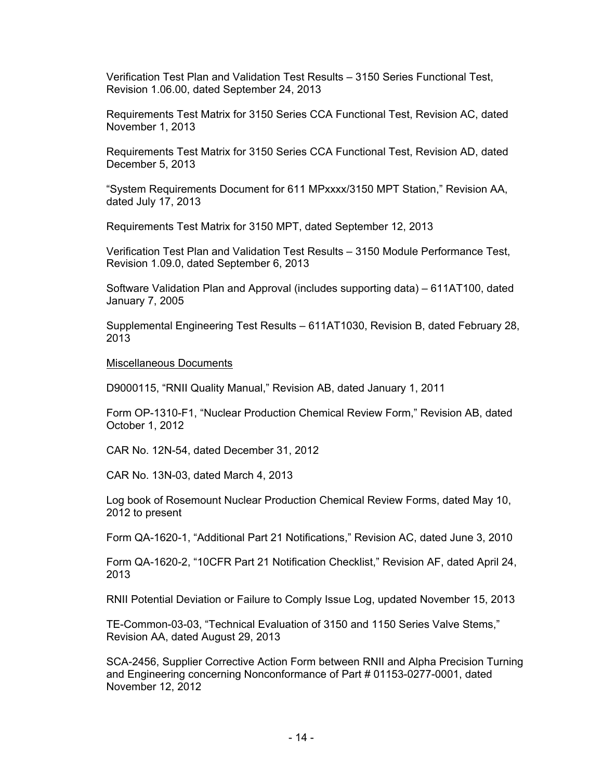Verification Test Plan and Validation Test Results – 3150 Series Functional Test, Revision 1.06.00, dated September 24, 2013

Requirements Test Matrix for 3150 Series CCA Functional Test, Revision AC, dated November 1, 2013

Requirements Test Matrix for 3150 Series CCA Functional Test, Revision AD, dated December 5, 2013

"System Requirements Document for 611 MPxxxx/3150 MPT Station," Revision AA, dated July 17, 2013

Requirements Test Matrix for 3150 MPT, dated September 12, 2013

Verification Test Plan and Validation Test Results – 3150 Module Performance Test, Revision 1.09.0, dated September 6, 2013

Software Validation Plan and Approval (includes supporting data) – 611AT100, dated January 7, 2005

Supplemental Engineering Test Results – 611AT1030, Revision B, dated February 28, 2013

#### Miscellaneous Documents

D9000115, "RNII Quality Manual," Revision AB, dated January 1, 2011

Form OP-1310-F1, "Nuclear Production Chemical Review Form," Revision AB, dated October 1, 2012

CAR No. 12N-54, dated December 31, 2012

CAR No. 13N-03, dated March 4, 2013

Log book of Rosemount Nuclear Production Chemical Review Forms, dated May 10, 2012 to present

Form QA-1620-1, "Additional Part 21 Notifications," Revision AC, dated June 3, 2010

Form QA-1620-2, "10CFR Part 21 Notification Checklist," Revision AF, dated April 24, 2013

RNII Potential Deviation or Failure to Comply Issue Log, updated November 15, 2013

TE-Common-03-03, "Technical Evaluation of 3150 and 1150 Series Valve Stems," Revision AA, dated August 29, 2013

SCA-2456, Supplier Corrective Action Form between RNII and Alpha Precision Turning and Engineering concerning Nonconformance of Part # 01153-0277-0001, dated November 12, 2012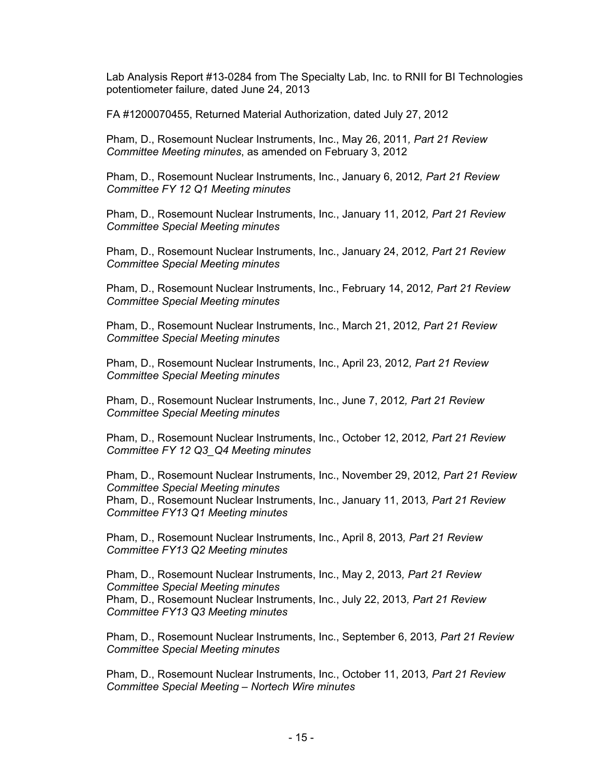Lab Analysis Report #13-0284 from The Specialty Lab, Inc. to RNII for BI Technologies potentiometer failure, dated June 24, 2013

FA #1200070455, Returned Material Authorization, dated July 27, 2012

Pham, D., Rosemount Nuclear Instruments, Inc., May 26, 2011*, Part 21 Review Committee Meeting minutes*, as amended on February 3, 2012

Pham, D., Rosemount Nuclear Instruments, Inc., January 6, 2012*, Part 21 Review Committee FY 12 Q1 Meeting minutes* 

Pham, D., Rosemount Nuclear Instruments, Inc., January 11, 2012*, Part 21 Review Committee Special Meeting minutes* 

Pham, D., Rosemount Nuclear Instruments, Inc., January 24, 2012*, Part 21 Review Committee Special Meeting minutes* 

Pham, D., Rosemount Nuclear Instruments, Inc., February 14, 2012*, Part 21 Review Committee Special Meeting minutes* 

Pham, D., Rosemount Nuclear Instruments, Inc., March 21, 2012*, Part 21 Review Committee Special Meeting minutes* 

Pham, D., Rosemount Nuclear Instruments, Inc., April 23, 2012*, Part 21 Review Committee Special Meeting minutes* 

Pham, D., Rosemount Nuclear Instruments, Inc., June 7, 2012*, Part 21 Review Committee Special Meeting minutes* 

Pham, D., Rosemount Nuclear Instruments, Inc., October 12, 2012*, Part 21 Review Committee FY 12 Q3\_Q4 Meeting minutes* 

Pham, D., Rosemount Nuclear Instruments, Inc., November 29, 2012*, Part 21 Review Committee Special Meeting minutes* Pham, D., Rosemount Nuclear Instruments, Inc., January 11, 2013*, Part 21 Review Committee FY13 Q1 Meeting minutes* 

Pham, D., Rosemount Nuclear Instruments, Inc., April 8, 2013*, Part 21 Review Committee FY13 Q2 Meeting minutes* 

Pham, D., Rosemount Nuclear Instruments, Inc., May 2, 2013*, Part 21 Review Committee Special Meeting minutes* Pham, D., Rosemount Nuclear Instruments, Inc., July 22, 2013*, Part 21 Review Committee FY13 Q3 Meeting minutes* 

Pham, D., Rosemount Nuclear Instruments, Inc., September 6, 2013*, Part 21 Review Committee Special Meeting minutes*

Pham, D., Rosemount Nuclear Instruments, Inc., October 11, 2013*, Part 21 Review Committee Special Meeting – Nortech Wire minutes*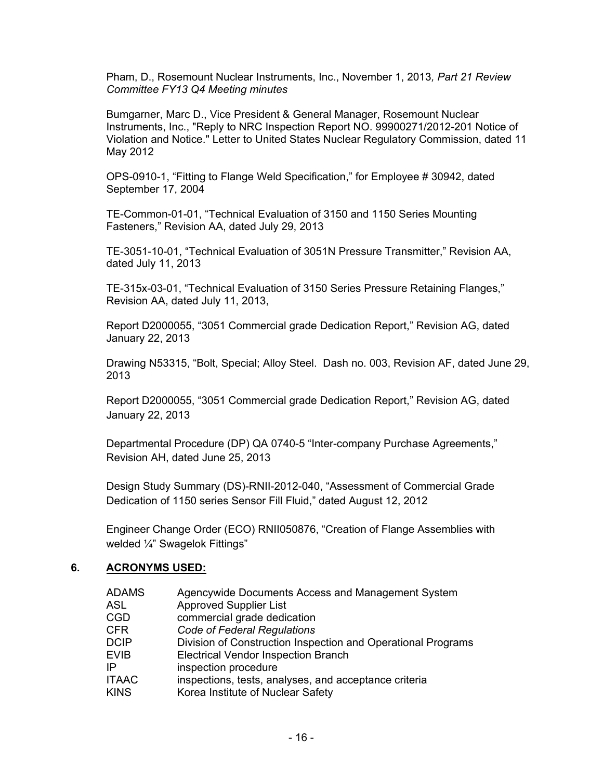Pham, D., Rosemount Nuclear Instruments, Inc., November 1, 2013*, Part 21 Review Committee FY13 Q4 Meeting minutes* 

Bumgarner, Marc D., Vice President & General Manager, Rosemount Nuclear Instruments, Inc., "Reply to NRC Inspection Report NO. 99900271/2012-201 Notice of Violation and Notice." Letter to United States Nuclear Regulatory Commission, dated 11 May 2012

OPS-0910-1, "Fitting to Flange Weld Specification," for Employee # 30942, dated September 17, 2004

TE-Common-01-01, "Technical Evaluation of 3150 and 1150 Series Mounting Fasteners," Revision AA, dated July 29, 2013

TE-3051-10-01, "Technical Evaluation of 3051N Pressure Transmitter," Revision AA, dated July 11, 2013

TE-315x-03-01, "Technical Evaluation of 3150 Series Pressure Retaining Flanges," Revision AA, dated July 11, 2013,

Report D2000055, "3051 Commercial grade Dedication Report," Revision AG, dated January 22, 2013

Drawing N53315, "Bolt, Special; Alloy Steel. Dash no. 003, Revision AF, dated June 29, 2013

Report D2000055, "3051 Commercial grade Dedication Report," Revision AG, dated January 22, 2013

Departmental Procedure (DP) QA 0740-5 "Inter-company Purchase Agreements," Revision AH, dated June 25, 2013

Design Study Summary (DS)-RNII-2012-040, "Assessment of Commercial Grade Dedication of 1150 series Sensor Fill Fluid," dated August 12, 2012

Engineer Change Order (ECO) RNII050876, "Creation of Flange Assemblies with welded ¼" Swagelok Fittings"

#### **6. ACRONYMS USED:**

| Agencywide Documents Access and Management System            |
|--------------------------------------------------------------|
| <b>Approved Supplier List</b>                                |
| commercial grade dedication                                  |
| <b>Code of Federal Regulations</b>                           |
| Division of Construction Inspection and Operational Programs |
| <b>Electrical Vendor Inspection Branch</b>                   |
| inspection procedure                                         |
| inspections, tests, analyses, and acceptance criteria        |
| Korea Institute of Nuclear Safety                            |
|                                                              |